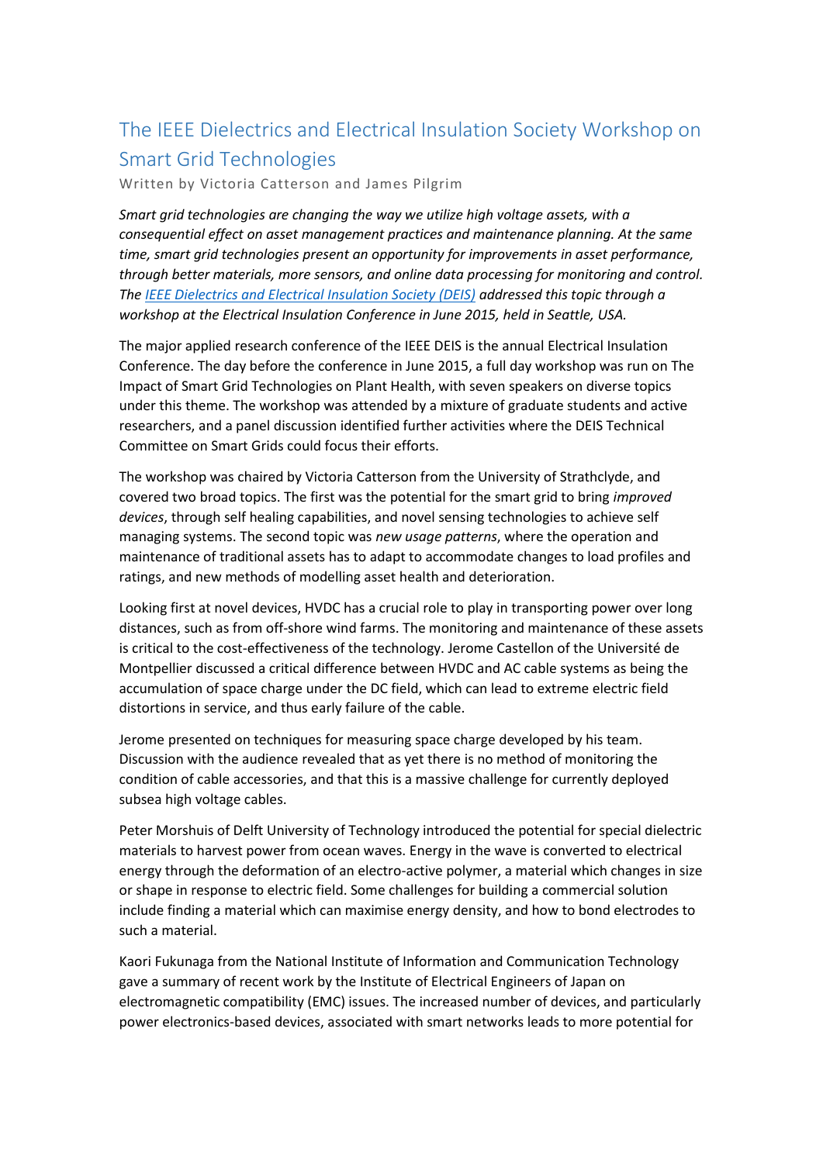## The IEEE Dielectrics and Electrical Insulation Society Workshop on Smart Grid Technologies

Written by Victoria Catterson and James Pilgrim

*Smart grid technologies are changing the way we utilize high voltage assets, with a consequential effect on asset management practices and maintenance planning. At the same time, smart grid technologies present an opportunity for improvements in asset performance, through better materials, more sensors, and online data processing for monitoring and control. The [IEEE Dielectrics and Electrical Insulation Society \(DEIS\)](http://sites.ieee.org/deis/) addressed this topic through a workshop at the Electrical Insulation Conference in June 2015, held in Seattle, USA.*

The major applied research conference of the IEEE DEIS is the annual Electrical Insulation Conference. The day before the conference in June 2015, a full day workshop was run on The Impact of Smart Grid Technologies on Plant Health, with seven speakers on diverse topics under this theme. The workshop was attended by a mixture of graduate students and active researchers, and a panel discussion identified further activities where the DEIS Technical Committee on Smart Grids could focus their efforts.

The workshop was chaired by Victoria Catterson from the University of Strathclyde, and covered two broad topics. The first was the potential for the smart grid to bring *improved devices*, through self healing capabilities, and novel sensing technologies to achieve self managing systems. The second topic was *new usage patterns*, where the operation and maintenance of traditional assets has to adapt to accommodate changes to load profiles and ratings, and new methods of modelling asset health and deterioration.

Looking first at novel devices, HVDC has a crucial role to play in transporting power over long distances, such as from off-shore wind farms. The monitoring and maintenance of these assets is critical to the cost-effectiveness of the technology. Jerome Castellon of the Université de Montpellier discussed a critical difference between HVDC and AC cable systems as being the accumulation of space charge under the DC field, which can lead to extreme electric field distortions in service, and thus early failure of the cable.

Jerome presented on techniques for measuring space charge developed by his team. Discussion with the audience revealed that as yet there is no method of monitoring the condition of cable accessories, and that this is a massive challenge for currently deployed subsea high voltage cables.

Peter Morshuis of Delft University of Technology introduced the potential for special dielectric materials to harvest power from ocean waves. Energy in the wave is converted to electrical energy through the deformation of an electro-active polymer, a material which changes in size or shape in response to electric field. Some challenges for building a commercial solution include finding a material which can maximise energy density, and how to bond electrodes to such a material.

Kaori Fukunaga from the National Institute of Information and Communication Technology gave a summary of recent work by the Institute of Electrical Engineers of Japan on electromagnetic compatibility (EMC) issues. The increased number of devices, and particularly power electronics-based devices, associated with smart networks leads to more potential for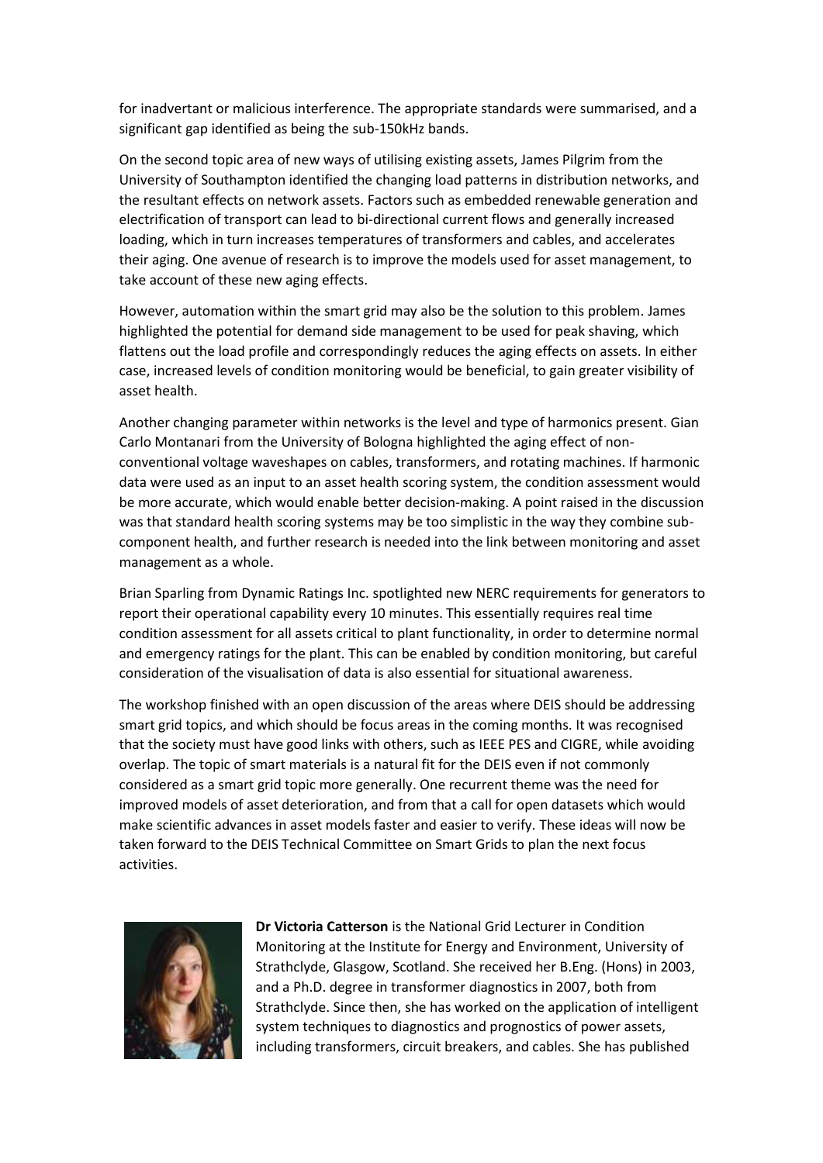for inadvertant or malicious interference. The appropriate standards were summarised, and a significant gap identified as being the sub-150kHz bands.

On the second topic area of new ways of utilising existing assets, James Pilgrim from the University of Southampton identified the changing load patterns in distribution networks, and the resultant effects on network assets. Factors such as embedded renewable generation and electrification of transport can lead to bi-directional current flows and generally increased loading, which in turn increases temperatures of transformers and cables, and accelerates their aging. One avenue of research is to improve the models used for asset management, to take account of these new aging effects.

However, automation within the smart grid may also be the solution to this problem. James highlighted the potential for demand side management to be used for peak shaving, which flattens out the load profile and correspondingly reduces the aging effects on assets. In either case, increased levels of condition monitoring would be beneficial, to gain greater visibility of asset health.

Another changing parameter within networks is the level and type of harmonics present. Gian Carlo Montanari from the University of Bologna highlighted the aging effect of nonconventional voltage waveshapes on cables, transformers, and rotating machines. If harmonic data were used as an input to an asset health scoring system, the condition assessment would be more accurate, which would enable better decision-making. A point raised in the discussion was that standard health scoring systems may be too simplistic in the way they combine subcomponent health, and further research is needed into the link between monitoring and asset management as a whole.

Brian Sparling from Dynamic Ratings Inc. spotlighted new NERC requirements for generators to report their operational capability every 10 minutes. This essentially requires real time condition assessment for all assets critical to plant functionality, in order to determine normal and emergency ratings for the plant. This can be enabled by condition monitoring, but careful consideration of the visualisation of data is also essential for situational awareness.

The workshop finished with an open discussion of the areas where DEIS should be addressing smart grid topics, and which should be focus areas in the coming months. It was recognised that the society must have good links with others, such as IEEE PES and CIGRE, while avoiding overlap. The topic of smart materials is a natural fit for the DEIS even if not commonly considered as a smart grid topic more generally. One recurrent theme was the need for improved models of asset deterioration, and from that a call for open datasets which would make scientific advances in asset models faster and easier to verify. These ideas will now be taken forward to the DEIS Technical Committee on Smart Grids to plan the next focus activities.



**Dr Victoria Catterson** is the National Grid Lecturer in Condition Monitoring at the Institute for Energy and Environment, University of Strathclyde, Glasgow, Scotland. She received her B.Eng. (Hons) in 2003, and a Ph.D. degree in transformer diagnostics in 2007, both from Strathclyde. Since then, she has worked on the application of intelligent system techniques to diagnostics and prognostics of power assets, including transformers, circuit breakers, and cables. She has published